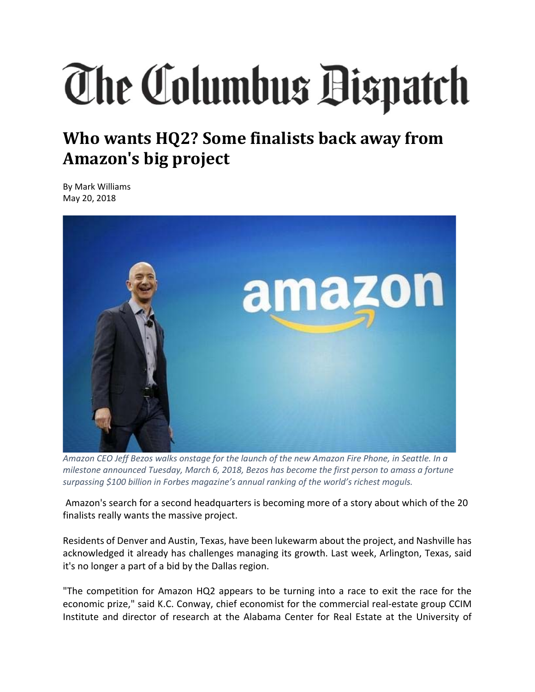## The Columbus Bispatch

## **Who wants HQ2? Some finalists back away from Amazon's big project**

By Mark Williams May 20, 2018



Amazon CEO Jeff Bezos walks onstage for the launch of the new Amazon Fire Phone, in Seattle. In a *milestone announced Tuesday, March 6, 2018, Bezos has become the first person to amass a fortune surpassing \$100 billion in Forbes magazine's annual ranking of the world's richest moguls.*

Amazon's search for a second headquarters is becoming more of a story about which of the 20 finalists really wants the massive project.

Residents of Denver and Austin, Texas, have been lukewarm about the project, and Nashville has acknowledged it already has challenges managing its growth. Last week, Arlington, Texas, said it's no longer a part of a bid by the Dallas region.

"The competition for Amazon HQ2 appears to be turning into a race to exit the race for the economic prize," said K.C. Conway, chief economist for the commercial real‐estate group CCIM Institute and director of research at the Alabama Center for Real Estate at the University of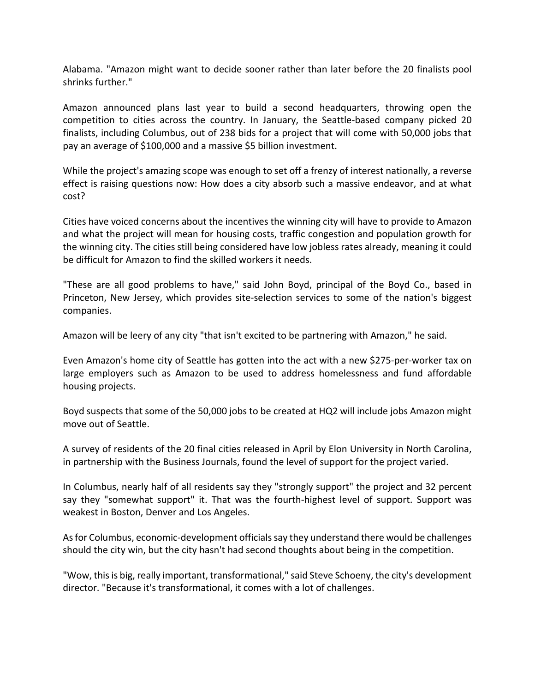Alabama. "Amazon might want to decide sooner rather than later before the 20 finalists pool shrinks further."

Amazon announced plans last year to build a second headquarters, throwing open the competition to cities across the country. In January, the Seattle-based company picked 20 finalists, including Columbus, out of 238 bids for a project that will come with 50,000 jobs that pay an average of \$100,000 and a massive \$5 billion investment.

While the project's amazing scope was enough to set off a frenzy of interest nationally, a reverse effect is raising questions now: How does a city absorb such a massive endeavor, and at what cost?

Cities have voiced concerns about the incentives the winning city will have to provide to Amazon and what the project will mean for housing costs, traffic congestion and population growth for the winning city. The cities still being considered have low jobless rates already, meaning it could be difficult for Amazon to find the skilled workers it needs.

"These are all good problems to have," said John Boyd, principal of the Boyd Co., based in Princeton, New Jersey, which provides site-selection services to some of the nation's biggest companies.

Amazon will be leery of any city "that isn't excited to be partnering with Amazon," he said.

Even Amazon's home city of Seattle has gotten into the act with a new \$275‐per‐worker tax on large employers such as Amazon to be used to address homelessness and fund affordable housing projects.

Boyd suspects that some of the 50,000 jobs to be created at HQ2 will include jobs Amazon might move out of Seattle.

A survey of residents of the 20 final cities released in April by Elon University in North Carolina, in partnership with the Business Journals, found the level of support for the project varied.

In Columbus, nearly half of all residents say they "strongly support" the project and 32 percent say they "somewhat support" it. That was the fourth-highest level of support. Support was weakest in Boston, Denver and Los Angeles.

Asfor Columbus, economic‐development officialssay they understand there would be challenges should the city win, but the city hasn't had second thoughts about being in the competition.

"Wow, this is big, really important, transformational," said Steve Schoeny, the city's development director. "Because it's transformational, it comes with a lot of challenges.